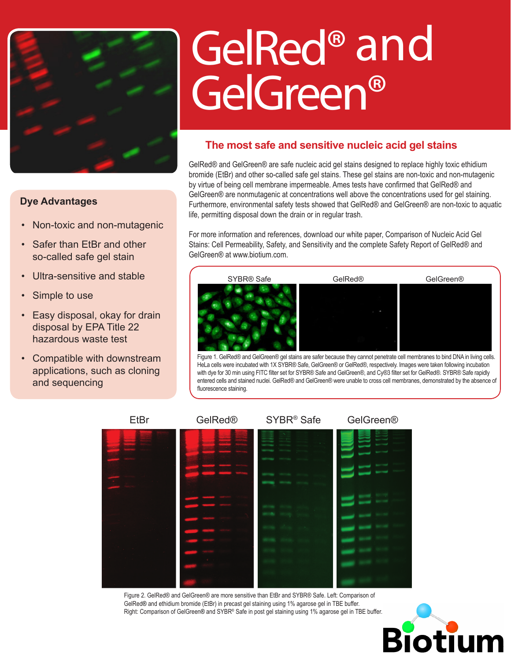

## **Dye Advantages**

- Non-toxic and non-mutagenic
- Safer than EtBr and other so-called safe gel stain
- Ultra-sensitive and stable
- Simple to use
- Easy disposal, okay for drain disposal by EPA Title 22 hazardous waste test
- • Compatible with downstream applications, such as cloning and sequencing

# GelRed® and GelGreen®

## **The most safe and sensitive nucleic acid gel stains**

GelRed® and GelGreen® are safe nucleic acid gel stains designed to replace highly toxic ethidium bromide (EtBr) and other so-called safe gel stains. These gel stains are non-toxic and non-mutagenic by virtue of being cell membrane impermeable. Ames tests have confirmed that GelRed® and GelGreen® are nonmutagenic at concentrations well above the concentrations used for gel staining. Furthermore, environmental safety tests showed that GelRed® and GelGreen® are non-toxic to aquatic life, permitting disposal down the drain or in regular trash.

For more information and references, download our white paper, Comparison of Nucleic Acid Gel Stains: Cell Permeability, Safety, and Sensitivity and the complete Safety Report of GelRed® and GelGreen® at www.biotium.com.



Figure 1. GelRed® and GelGreen® gel stains are safer because they cannot penetrate cell membranes to bind DNA in living cells. HeLa cells were incubated with 1X SYBR® Safe, GelGreen® or GelRed®, respectively. Images were taken following incubation with dye for 30 min using FITC filter set for SYBR® Safe and GelGreen®, and Cy®3 filter set for GelRed®. SYBR® Safe rapidly entered cells and stained nuclei. GelRed® and GelGreen® were unable to cross cell membranes, demonstrated by the absence of fluorescence staining.



Figure 2. GelRed® and GelGreen® are more sensitive than EtBr and SYBR® Safe. Left: Comparison of GelRed® and ethidium bromide (EtBr) in precast gel staining using 1% agarose gel in TBE buffer. Right: Comparison of GelGreen® and SYBR® Safe in post gel staining using 1% agarose gel in TBE buffer.